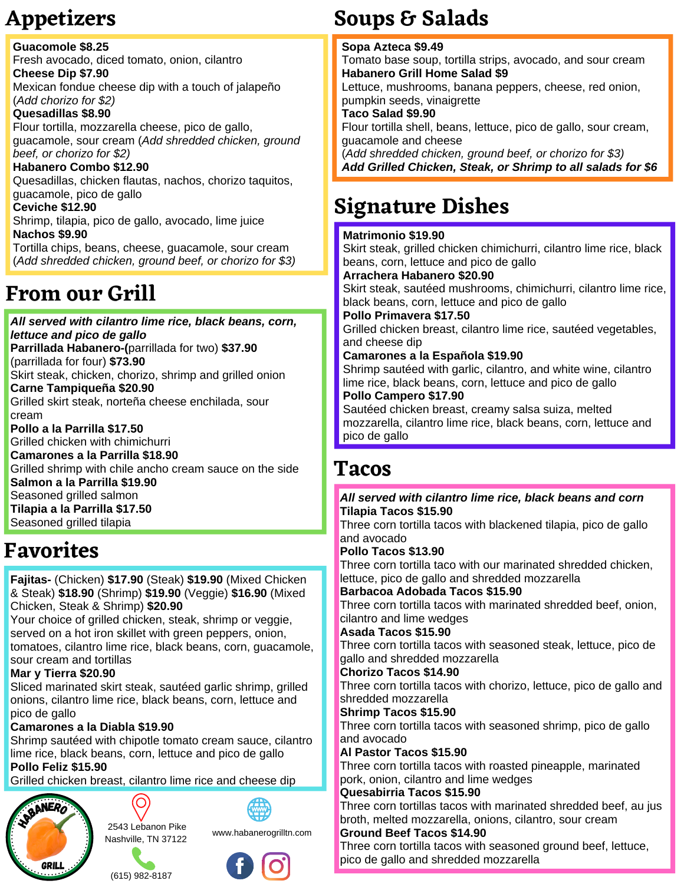**Guacomole \$8.25** Fresh avocado, diced tomato, onion, cilantro **Cheese Dip \$7.90** Mexican fondue cheese dip with a touch of jalapeño (*Add chorizo for \$2)* **Quesadillas \$8.90** Flour tortilla, mozzarella cheese, pico de gallo, guacamole, sour cream (*Add shredded chicken, ground beef, or chorizo for \$2)* **Habanero Combo \$12.90** Quesadillas, chicken flautas, nachos, chorizo taquitos, guacamole, pico de gallo **Ceviche \$12.90** Shrimp, tilapia, pico de gallo, avocado, lime juice **Nachos \$9.90** Tortilla chips, beans, cheese, guacamole, sour cream (*Add shredded chicken, ground beef, or chorizo for \$3)*

# **From our Grill**

*All served with cilantro lime rice, black beans, corn, lettuce and pico de gallo* **Parrillada Habanero-(**parrillada for two) **\$37.90** (parrillada for four) **\$73.90** Skirt steak, chicken, chorizo, shrimp and grilled onion **Carne Tampiqueña \$20.90** Grilled skirt steak, norteña cheese enchilada, sour cream **Pollo a la Parrilla \$17.50** Grilled chicken with chimichurri **Camarones a la Parrilla \$18.90** Grilled shrimp with chile ancho cream sauce on the side **Salmon a la Parrilla \$19.90** Seasoned grilled salmon **Tilapia a la Parrilla \$17.50** Seasoned grilled tilapia

# **Favorites**

**Fajitas-** (Chicken) **\$17.90** (Steak) **\$19.90** (Mixed Chicken & Steak) **\$18.90** (Shrimp) **\$19.90** (Veggie) **\$16.90** (Mixed Chicken, Steak & Shrimp) **\$20.90**

Your choice of grilled chicken, steak, shrimp or veggie, served on a hot iron skillet with green peppers, onion, tomatoes, cilantro lime rice, black beans, corn, guacamole, sour cream and tortillas

#### **Mar y Tierra \$20.90**

Sliced marinated skirt steak, sautéed garlic shrimp, grilled onions, cilantro lime rice, black beans, corn, lettuce and pico de gallo

## **Camarones a la Diabla \$19.90**

Shrimp sautéed with chipotle tomato cream sauce, cilantro lime rice, black beans, corn, lettuce and pico de gallo **Pollo Feliz \$15.90**

Grilled chicken breast, cilantro lime rice and cheese dip



O 2543 Lebanon Pike Nashville, TN 37122



(615) 982-8187



# **Appetizers Soups & Salads**

#### **Sopa Azteca \$9.49**

Tomato base soup, tortilla strips, avocado, and sour cream **Habanero Grill Home Salad \$9**

Lettuce, mushrooms, banana peppers, cheese, red onion, pumpkin seeds, vinaigrette

## **Taco Salad \$9.90**

Flour tortilla shell, beans, lettuce, pico de gallo, sour cream, guacamole and cheese

(*Add shredded chicken, ground beef, or chorizo for \$3) Add Grilled Chicken, Steak, or Shrimp to all salads for \$6*

# **Signature Dishes**

### **Matrimonio \$19.90**

Skirt steak, grilled chicken chimichurri, cilantro lime rice, black beans, corn, lettuce and pico de gallo

#### **Arrachera Habanero \$20.90**

Skirt steak, sautéed mushrooms, chimichurri, cilantro lime rice, black beans, corn, lettuce and pico de gallo

#### **Pollo Primavera \$17.50**

Grilled chicken breast, cilantro lime rice, sautéed vegetables, and cheese dip

#### **Camarones a la Española \$19.90**

Shrimp sautéed with garlic, cilantro, and white wine, cilantro lime rice, black beans, corn, lettuce and pico de gallo

#### **Pollo Campero \$17.90**

Sautéed chicken breast, creamy salsa suiza, melted mozzarella, cilantro lime rice, black beans, corn, lettuce and pico de gallo

# **Tacos**

#### *All served with cilantro lime rice, black beans and corn* **Tilapia Tacos \$15.90**

Three corn tortilla tacos with blackened tilapia, pico de gallo and avocado

#### **Pollo Tacos \$13.90**

Three corn tortilla taco with our marinated shredded chicken, lettuce, pico de gallo and shredded mozzarella

#### **Barbacoa Adobada Tacos \$15.90**

Three corn tortilla tacos with marinated shredded beef, onion, cilantro and lime wedges

#### **Asada Tacos \$15.90**

Three corn tortilla tacos with seasoned steak, lettuce, pico de gallo and shredded mozzarella

#### **Chorizo Tacos \$14.90**

Three corn tortilla tacos with chorizo, lettuce, pico de gallo and shredded mozzarella

#### **Shrimp Tacos \$15.90**

Three corn tortilla tacos with seasoned shrimp, pico de gallo and avocado

#### **Al Pastor Tacos \$15.90**

Three corn tortilla tacos with roasted pineapple, marinated pork, onion, cilantro and lime wedges

#### **Quesabirria Tacos \$15.90**

Three corn tortillas tacos with marinated shredded beef, au jus broth, melted mozzarella, onions, cilantro, sour cream

#### **Ground Beef Tacos \$14.90**

Three corn tortilla tacos with seasoned ground beef, lettuce, pico de gallo and shredded mozzarella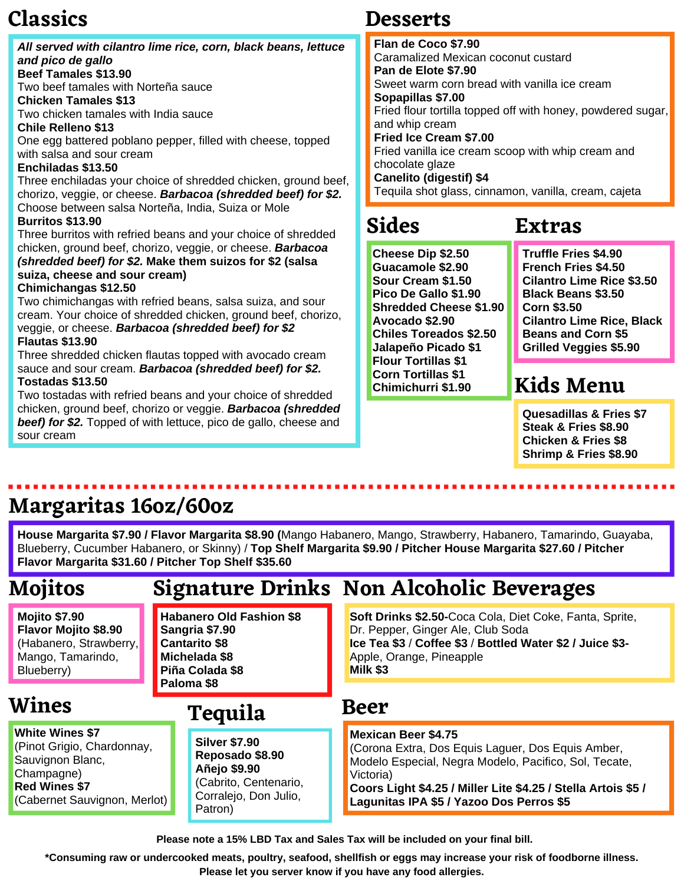# **Classics**

sour cream

**Red Wines \$7**

(Cabernet Sauvignon, Merlot)

|  | All served with cilantro lime rice, corn, black beans, lettuce<br>and pico de gallo<br><b>Beef Tamales \$13.90</b><br>Two beef tamales with Norteña sauce<br><b>Chicken Tamales \$13</b><br>Two chicken tamales with India sauce<br><b>Chile Relleno \$13</b><br>One egg battered poblano pepper, filled with cheese, topped<br>with salsa and sour cream<br>Enchiladas \$13.50<br>Three enchiladas your choice of shredded chicken, ground beef,<br>chorizo, veggie, or cheese. Barbacoa (shredded beef) for \$2.                                                                                                                                                                                                                                                 | Flan de Coco \$7.90<br>Caramalized Mexican coconut custard<br>Pan de Elote \$7.90<br>Sweet warm corn bread with vanilla ice cream<br>Sopapillas \$7.00<br>Fried flour tortilla topped off with honey, powdered sugar,<br>and whip cream<br>Fried Ice Cream \$7.00<br>Fried vanilla ice cream scoop with whip cream and<br>chocolate glaze<br>Canelito (digestif) \$4<br>Tequila shot glass, cinnamon, vanilla, cream, cajeta |                                                                                                                                                                                                                                                                 |
|--|--------------------------------------------------------------------------------------------------------------------------------------------------------------------------------------------------------------------------------------------------------------------------------------------------------------------------------------------------------------------------------------------------------------------------------------------------------------------------------------------------------------------------------------------------------------------------------------------------------------------------------------------------------------------------------------------------------------------------------------------------------------------|------------------------------------------------------------------------------------------------------------------------------------------------------------------------------------------------------------------------------------------------------------------------------------------------------------------------------------------------------------------------------------------------------------------------------|-----------------------------------------------------------------------------------------------------------------------------------------------------------------------------------------------------------------------------------------------------------------|
|  | Choose between salsa Norteña, India, Suiza or Mole<br><b>Burritos \$13.90</b><br>Three burritos with refried beans and your choice of shredded<br>chicken, ground beef, chorizo, veggie, or cheese. Barbacoa<br>(shredded beef) for \$2. Make them suizos for \$2 (salsa<br>suiza, cheese and sour cream)<br>Chimichangas \$12.50<br>Two chimichangas with refried beans, salsa suiza, and sour<br>cream. Your choice of shredded chicken, ground beef, chorizo,<br>veggie, or cheese. Barbacoa (shredded beef) for \$2<br><b>Flautas \$13.90</b><br>Three shredded chicken flautas topped with avocado cream<br>sauce and sour cream. Barbacoa (shredded beef) for \$2.<br><b>Tostadas \$13.50</b><br>Two tostadas with refried beans and your choice of shredded | <b>Sides</b>                                                                                                                                                                                                                                                                                                                                                                                                                 | <b>Extras</b>                                                                                                                                                                                                                                                   |
|  |                                                                                                                                                                                                                                                                                                                                                                                                                                                                                                                                                                                                                                                                                                                                                                    | Cheese Dip \$2.50<br>Guacamole \$2.90<br>Sour Cream \$1.50<br>Pico De Gallo \$1.90<br><b>Shredded Cheese \$1.90</b><br>Avocado \$2.90<br><b>Chiles Toreados \$2.50</b><br>Jalapeño Picado \$1<br><b>Flour Tortillas \$1</b><br><b>Corn Tortillas \$1</b><br>Chimichurri \$1.90                                                                                                                                               | <b>Truffle Fries \$4.90</b><br><b>French Fries \$4.50</b><br><b>Cilantro Lime Rice \$3.50</b><br><b>Black Beans \$3.50</b><br><b>Corn \$3.50</b><br><b>Cilantro Lime Rice, Black</b><br><b>Beans and Corn \$5</b><br><b>Grilled Veggies \$5.90</b><br>Kids Menu |
|  | chicken, ground beef, chorizo or veggie. Barbacoa (shredded                                                                                                                                                                                                                                                                                                                                                                                                                                                                                                                                                                                                                                                                                                        |                                                                                                                                                                                                                                                                                                                                                                                                                              | Ouscadillas & Fries ¢7                                                                                                                                                                                                                                          |

**Desserts**

**Quesadillas & Fries \$7 Steak & Fries \$8.90 Chicken & Fries \$8 Shrimp & Fries \$8.90**

# **Margaritas 16oz/60oz**

*beef) for \$2.* Topped of with lettuce, pico de gallo, cheese and

**House Margarita \$7.90 / Flavor Margarita \$8.90 (**Mango Habanero, Mango, Strawberry, Habanero, Tamarindo, Guayaba, Blueberry, Cucumber Habanero, or Skinny) / **Top Shelf Margarita \$9.90 / Pitcher House Margarita \$27.60 / Pitcher Flavor Margarita \$31.60 / Pitcher Top Shelf \$35.60**

| <b>Mojitos</b>                                                                                                   |                                                                                                               | <b>Signature Drinks Non Alcoholic Beverages</b>                                                                                                                                                                   |  |
|------------------------------------------------------------------------------------------------------------------|---------------------------------------------------------------------------------------------------------------|-------------------------------------------------------------------------------------------------------------------------------------------------------------------------------------------------------------------|--|
| <b>Mojito \$7.90</b><br><b>Flavor Mojito \$8.90</b><br>(Habanero, Strawberry,<br>Mango, Tamarindo,<br>Blueberry) | <b>Habanero Old Fashion \$8</b><br>Sangria \$7.90<br><b>Cantarito \$8</b><br>Michelada \$8<br>Piña Colada \$8 | <b>Soft Drinks \$2.50-Coca Cola, Diet Coke, Fanta, Sprite,</b><br>Dr. Pepper, Ginger Ale, Club Soda<br>Ice Tea \$3 / Coffee \$3 / Bottled Water \$2 / Juice \$3-<br>Apple, Orange, Pineapple<br>Milk \$3<br>Beer  |  |
| <b>Wines</b>                                                                                                     | Paloma \$8<br><b>Tequila</b>                                                                                  |                                                                                                                                                                                                                   |  |
| <b>White Wines \$7</b><br>(Pinot Grigio, Chardonnay,<br>Sauvignon Blanc,<br>Champagne)<br>Dad Wings ¢7           | <b>Silver \$7.90</b><br>Reposado \$8.90<br>Añejo \$9.90<br>(Cabrito, Centenario,                              | <b>Mexican Beer \$4.75</b><br>(Corona Extra, Dos Equis Laguer, Dos Equis Amber,<br>Modelo Especial, Negra Modelo, Pacifico, Sol, Tecate,<br>Victoria)<br>Cooreliabt @1.25   Millor Lito @1.25   Ctalle, Artois @5 |  |

Corralejo, Don Julio,

Patron)

**Coors Light \$4.25 / Miller Lite \$4.25 / Stella Artois \$5 / Lagunitas IPA \$5 / Yazoo Dos Perros \$5**

**Please note a 15% LBD Tax and Sales Tax will be included on your final bill.**

\*Consuming raw or undercooked meats, poultry, seafood, shellfish or eggs may increase your risk of foodborne illness. **Please let you server know if you have any food allergies.**